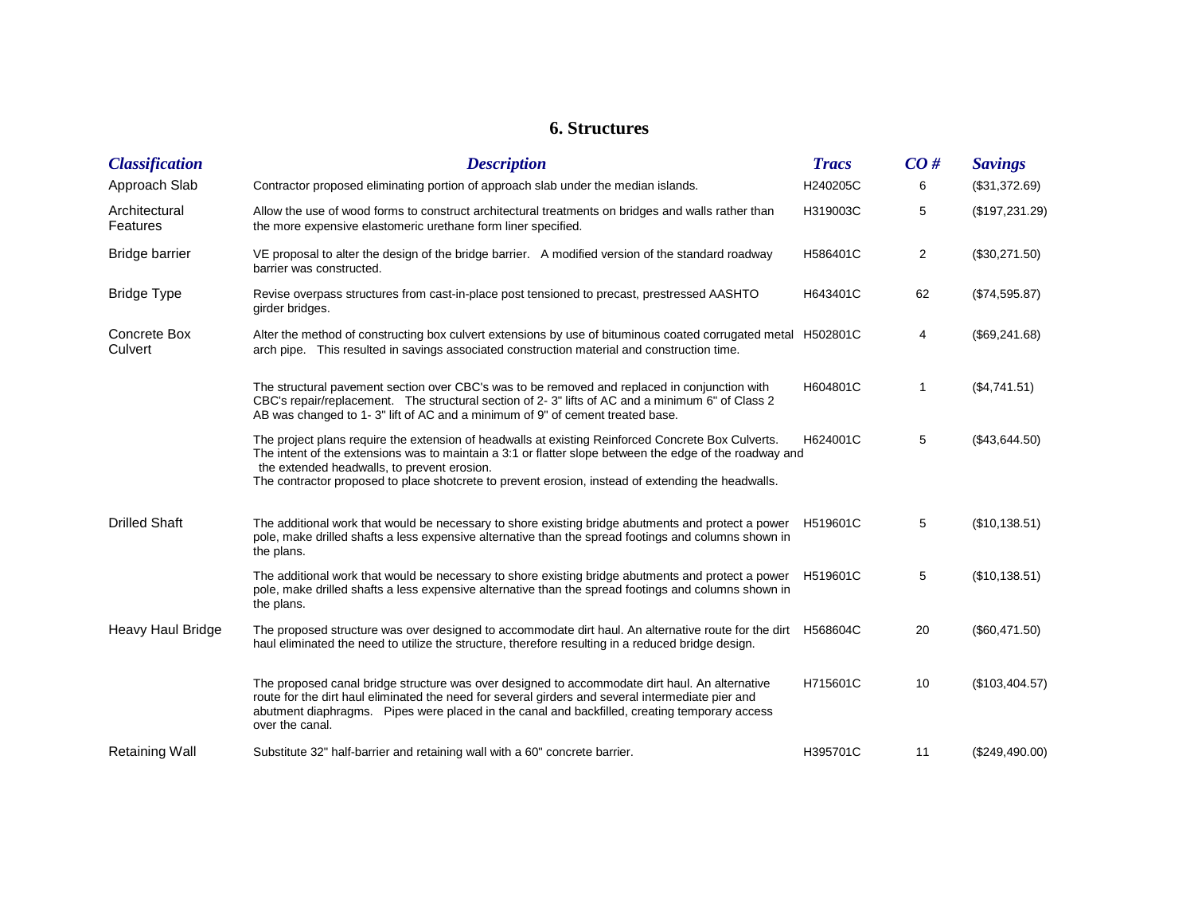## **6. Structures**

| <b>Classification</b>     | <b>Description</b>                                                                                                                                                                                                                                                                                                                                                 | <b>Tracs</b> | CO#            | <b>Savings</b> |
|---------------------------|--------------------------------------------------------------------------------------------------------------------------------------------------------------------------------------------------------------------------------------------------------------------------------------------------------------------------------------------------------------------|--------------|----------------|----------------|
| Approach Slab             | Contractor proposed eliminating portion of approach slab under the median islands.                                                                                                                                                                                                                                                                                 | H240205C     | 6              | (\$31,372.69)  |
| Architectural<br>Features | Allow the use of wood forms to construct architectural treatments on bridges and walls rather than<br>the more expensive elastomeric urethane form liner specified.                                                                                                                                                                                                | H319003C     | 5              | (\$197,231.29) |
| <b>Bridge barrier</b>     | VE proposal to alter the design of the bridge barrier. A modified version of the standard roadway<br>barrier was constructed.                                                                                                                                                                                                                                      | H586401C     | $\overline{c}$ | (\$30,271.50)  |
| <b>Bridge Type</b>        | Revise overpass structures from cast-in-place post tensioned to precast, prestressed AASHTO<br>girder bridges.                                                                                                                                                                                                                                                     | H643401C     | 62             | (\$74,595.87)  |
| Concrete Box<br>Culvert   | Alter the method of constructing box culvert extensions by use of bituminous coated corrugated metal H502801C<br>arch pipe. This resulted in savings associated construction material and construction time.                                                                                                                                                       |              | 4              | (\$69,241.68)  |
|                           | The structural pavement section over CBC's was to be removed and replaced in conjunction with<br>CBC's repair/replacement. The structural section of 2-3" lifts of AC and a minimum 6" of Class 2<br>AB was changed to 1-3" lift of AC and a minimum of 9" of cement treated base.                                                                                 | H604801C     | 1              | (\$4,741.51)   |
|                           | The project plans require the extension of headwalls at existing Reinforced Concrete Box Culverts.<br>The intent of the extensions was to maintain a 3:1 or flatter slope between the edge of the roadway and<br>the extended headwalls, to prevent erosion.<br>The contractor proposed to place shotcrete to prevent erosion, instead of extending the headwalls. | H624001C     | 5              | (\$43,644.50)  |
| <b>Drilled Shaft</b>      | The additional work that would be necessary to shore existing bridge abutments and protect a power<br>pole, make drilled shafts a less expensive alternative than the spread footings and columns shown in<br>the plans.                                                                                                                                           | H519601C     | 5              | (\$10,138.51)  |
|                           | The additional work that would be necessary to shore existing bridge abutments and protect a power<br>pole, make drilled shafts a less expensive alternative than the spread footings and columns shown in<br>the plans.                                                                                                                                           | H519601C     | 5              | (\$10,138.51)  |
| Heavy Haul Bridge         | The proposed structure was over designed to accommodate dirt haul. An alternative route for the dirt H568604C<br>haul eliminated the need to utilize the structure, therefore resulting in a reduced bridge design.                                                                                                                                                |              | 20             | (\$60,471.50)  |
|                           | The proposed canal bridge structure was over designed to accommodate dirt haul. An alternative<br>route for the dirt haul eliminated the need for several girders and several intermediate pier and<br>abutment diaphragms. Pipes were placed in the canal and backfilled, creating temporary access<br>over the canal.                                            | H715601C     | 10             | (\$103,404.57) |
| <b>Retaining Wall</b>     | Substitute 32" half-barrier and retaining wall with a 60" concrete barrier.                                                                                                                                                                                                                                                                                        | H395701C     | 11             | (\$249,490.00) |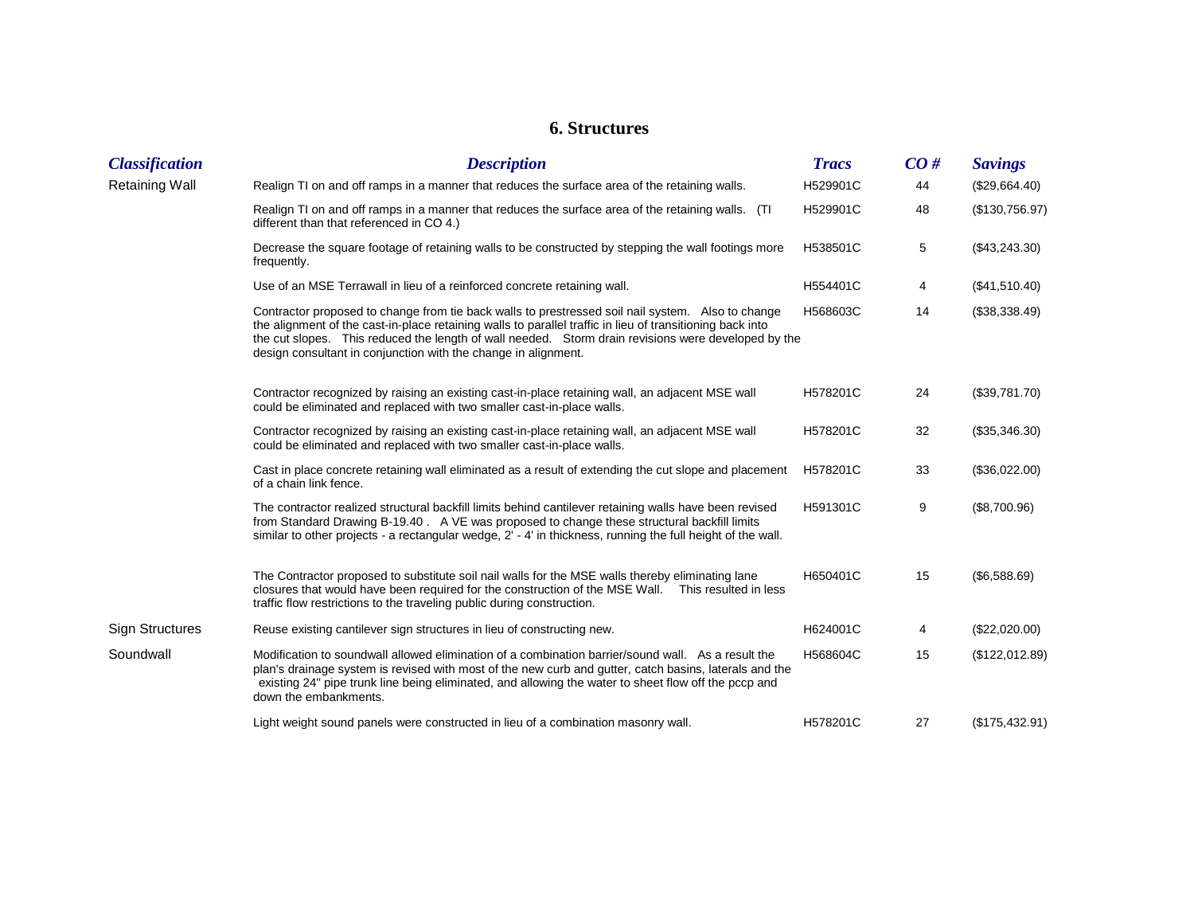## **6. Structures**

| <b>Classification</b>  | <b>Description</b>                                                                                                                                                                                                                                                                                                                                                                      | <b>Tracs</b> | CO# | <b>Savings</b> |
|------------------------|-----------------------------------------------------------------------------------------------------------------------------------------------------------------------------------------------------------------------------------------------------------------------------------------------------------------------------------------------------------------------------------------|--------------|-----|----------------|
| <b>Retaining Wall</b>  | Realign TI on and off ramps in a manner that reduces the surface area of the retaining walls.                                                                                                                                                                                                                                                                                           | H529901C     | 44  | (\$29,664.40)  |
|                        | Realign TI on and off ramps in a manner that reduces the surface area of the retaining walls. (TI<br>different than that referenced in CO 4.)                                                                                                                                                                                                                                           | H529901C     | 48  | (\$130,756.97) |
|                        | Decrease the square footage of retaining walls to be constructed by stepping the wall footings more<br>frequently.                                                                                                                                                                                                                                                                      | H538501C     | 5   | (\$43,243.30)  |
|                        | Use of an MSE Terrawall in lieu of a reinforced concrete retaining wall.                                                                                                                                                                                                                                                                                                                | H554401C     | 4   | (\$41,510.40)  |
|                        | Contractor proposed to change from tie back walls to prestressed soil nail system. Also to change<br>the alignment of the cast-in-place retaining walls to parallel traffic in lieu of transitioning back into<br>the cut slopes. This reduced the length of wall needed. Storm drain revisions were developed by the<br>design consultant in conjunction with the change in alignment. | H568603C     | 14  | (\$38,338.49)  |
|                        | Contractor recognized by raising an existing cast-in-place retaining wall, an adjacent MSE wall<br>could be eliminated and replaced with two smaller cast-in-place walls.                                                                                                                                                                                                               | H578201C     | 24  | (\$39,781.70)  |
|                        | Contractor recognized by raising an existing cast-in-place retaining wall, an adjacent MSE wall<br>could be eliminated and replaced with two smaller cast-in-place walls.                                                                                                                                                                                                               | H578201C     | 32  | (\$35,346.30)  |
|                        | Cast in place concrete retaining wall eliminated as a result of extending the cut slope and placement<br>of a chain link fence.                                                                                                                                                                                                                                                         | H578201C     | 33  | (\$36,022.00)  |
|                        | The contractor realized structural backfill limits behind cantilever retaining walls have been revised<br>from Standard Drawing B-19.40 . A VE was proposed to change these structural backfill limits<br>similar to other projects - a rectangular wedge, 2' - 4' in thickness, running the full height of the wall.                                                                   | H591301C     | 9   | (\$8,700.96)   |
|                        | The Contractor proposed to substitute soil nail walls for the MSE walls thereby eliminating lane<br>closures that would have been required for the construction of the MSE Wall. This resulted in less<br>traffic flow restrictions to the traveling public during construction.                                                                                                        | H650401C     | 15  | (\$6,588.69)   |
| <b>Sign Structures</b> | Reuse existing cantilever sign structures in lieu of constructing new.                                                                                                                                                                                                                                                                                                                  | H624001C     | 4   | (\$22,020.00)  |
| Soundwall              | Modification to soundwall allowed elimination of a combination barrier/sound wall. As a result the<br>plan's drainage system is revised with most of the new curb and gutter, catch basins, laterals and the<br>existing 24" pipe trunk line being eliminated, and allowing the water to sheet flow off the pccp and<br>down the embankments.                                           | H568604C     | 15  | (\$122,012.89) |
|                        | Light weight sound panels were constructed in lieu of a combination masonry wall.                                                                                                                                                                                                                                                                                                       | H578201C     | 27  | (\$175,432.91) |